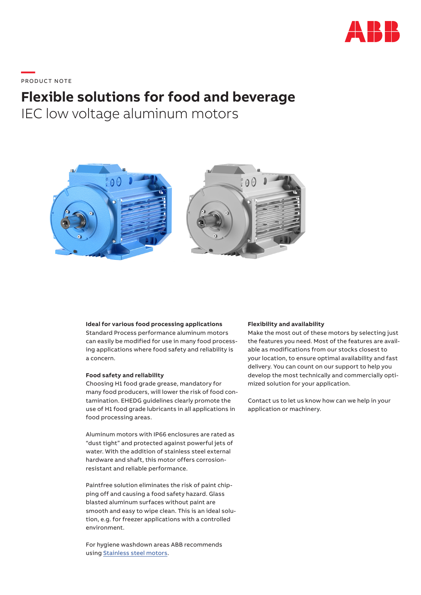

**—**  PRO DUC T NOTE

# **Flexible solutions for food and beverage**

IEC low voltage aluminum motors



### **Ideal for various food processing applications**

Standard Process performance aluminum motors can easily be modified for use in many food processing applications where food safety and reliability is a concern.

## **Food safety and reliability**

Choosing H1 food grade grease, mandatory for many food producers, will lower the risk of food contamination. EHEDG guidelines clearly promote the use of H1 food grade lubricants in all applications in food processing areas.

Aluminum motors with IP66 enclosures are rated as "dust tight" and protected against powerful jets of water. With the addition of stainless steel external hardware and shaft, this motor offers corrosionresistant and reliable performance.

Paintfree solution eliminates the risk of paint chipping off and causing a food safety hazard. Glass blasted aluminum surfaces without paint are smooth and easy to wipe clean. This is an ideal solution, e.g. for freezer applications with a controlled environment.

For hygiene washdown areas ABB recommends using Stainless steel motors.

#### **Flexibility and availability**

Make the most out of these motors by selecting just the features you need. Most of the features are available as modifications from our stocks closest to your location, to ensure optimal availability and fast delivery. You can count on our support to help you develop the most technically and commercially optimized solution for your application.

Contact us to let us know how can we help in your application or machinery.